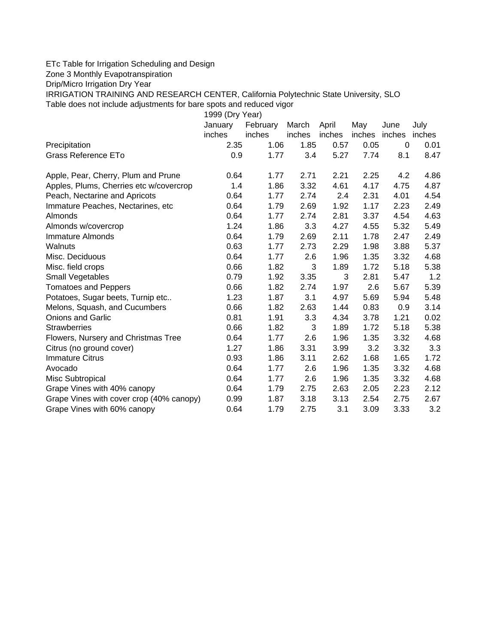## ETc Table for Irrigation Scheduling and Design

Zone 3 Monthly Evapotranspiration

Drip/Micro Irrigation Dry Year

IRRIGATION TRAINING AND RESEARCH CENTER, California Polytechnic State University, SLO Table does not include adjustments for bare spots and reduced vigor

| 1999 (Dry Year)                          |         |          |        |        |        |             |         |  |  |  |  |
|------------------------------------------|---------|----------|--------|--------|--------|-------------|---------|--|--|--|--|
|                                          | January | February | March  | April  | May    | June        | July    |  |  |  |  |
|                                          | inches  | inches   | inches | inches | inches | inches      | inches  |  |  |  |  |
| Precipitation                            | 2.35    | 1.06     | 1.85   | 0.57   | 0.05   | $\mathbf 0$ | 0.01    |  |  |  |  |
| Grass Reference ETo                      | 0.9     | 1.77     | 3.4    | 5.27   | 7.74   | 8.1         | 8.47    |  |  |  |  |
| Apple, Pear, Cherry, Plum and Prune      | 0.64    | 1.77     | 2.71   | 2.21   | 2.25   | 4.2         | 4.86    |  |  |  |  |
| Apples, Plums, Cherries etc w/covercrop  | 1.4     | 1.86     | 3.32   | 4.61   | 4.17   | 4.75        | 4.87    |  |  |  |  |
| Peach, Nectarine and Apricots            | 0.64    | 1.77     | 2.74   | 2.4    | 2.31   | 4.01        | 4.54    |  |  |  |  |
| Immature Peaches, Nectarines, etc        | 0.64    | 1.79     | 2.69   | 1.92   | 1.17   | 2.23        | 2.49    |  |  |  |  |
| Almonds                                  | 0.64    | 1.77     | 2.74   | 2.81   | 3.37   | 4.54        | 4.63    |  |  |  |  |
| Almonds w/covercrop                      | 1.24    | 1.86     | 3.3    | 4.27   | 4.55   | 5.32        | 5.49    |  |  |  |  |
| <b>Immature Almonds</b>                  | 0.64    | 1.79     | 2.69   | 2.11   | 1.78   | 2.47        | 2.49    |  |  |  |  |
| Walnuts                                  | 0.63    | 1.77     | 2.73   | 2.29   | 1.98   | 3.88        | 5.37    |  |  |  |  |
| Misc. Deciduous                          | 0.64    | 1.77     | 2.6    | 1.96   | 1.35   | 3.32        | 4.68    |  |  |  |  |
| Misc. field crops                        | 0.66    | 1.82     | 3      | 1.89   | 1.72   | 5.18        | 5.38    |  |  |  |  |
| Small Vegetables                         | 0.79    | 1.92     | 3.35   | 3      | 2.81   | 5.47        | 1.2     |  |  |  |  |
| <b>Tomatoes and Peppers</b>              | 0.66    | 1.82     | 2.74   | 1.97   | 2.6    | 5.67        | 5.39    |  |  |  |  |
| Potatoes, Sugar beets, Turnip etc        | 1.23    | 1.87     | 3.1    | 4.97   | 5.69   | 5.94        | 5.48    |  |  |  |  |
| Melons, Squash, and Cucumbers            | 0.66    | 1.82     | 2.63   | 1.44   | 0.83   | 0.9         | 3.14    |  |  |  |  |
| <b>Onions and Garlic</b>                 | 0.81    | 1.91     | 3.3    | 4.34   | 3.78   | 1.21        | 0.02    |  |  |  |  |
| <b>Strawberries</b>                      | 0.66    | 1.82     | 3      | 1.89   | 1.72   | 5.18        | 5.38    |  |  |  |  |
| Flowers, Nursery and Christmas Tree      | 0.64    | 1.77     | 2.6    | 1.96   | 1.35   | 3.32        | 4.68    |  |  |  |  |
| Citrus (no ground cover)                 | 1.27    | 1.86     | 3.31   | 3.99   | 3.2    | 3.32        | 3.3     |  |  |  |  |
| <b>Immature Citrus</b>                   | 0.93    | 1.86     | 3.11   | 2.62   | 1.68   | 1.65        | 1.72    |  |  |  |  |
| Avocado                                  | 0.64    | 1.77     | 2.6    | 1.96   | 1.35   | 3.32        | 4.68    |  |  |  |  |
| Misc Subtropical                         | 0.64    | 1.77     | 2.6    | 1.96   | 1.35   | 3.32        | 4.68    |  |  |  |  |
| Grape Vines with 40% canopy              | 0.64    | 1.79     | 2.75   | 2.63   | 2.05   | 2.23        | 2.12    |  |  |  |  |
| Grape Vines with cover crop (40% canopy) | 0.99    | 1.87     | 3.18   | 3.13   | 2.54   | 2.75        | 2.67    |  |  |  |  |
| Grape Vines with 60% canopy              | 0.64    | 1.79     | 2.75   | 3.1    | 3.09   | 3.33        | $3.2\,$ |  |  |  |  |